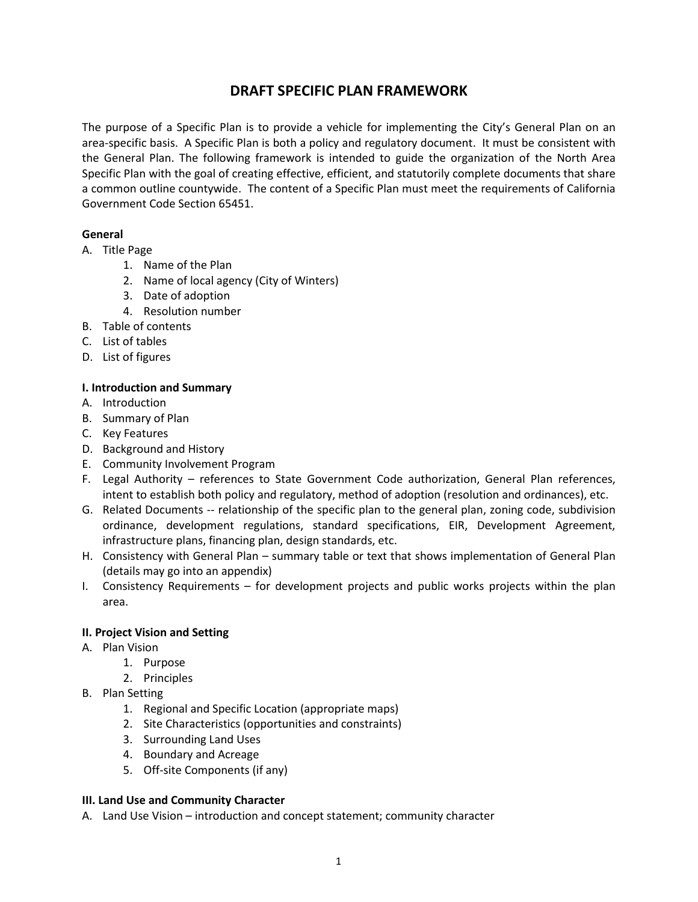# **DRAFT SPECIFIC PLAN FRAMEWORK**

The purpose of a Specific Plan is to provide a vehicle for implementing the City's General Plan on an area-specific basis. A Specific Plan is both a policy and regulatory document. It must be consistent with the General Plan. The following framework is intended to guide the organization of the North Area Specific Plan with the goal of creating effective, efficient, and statutorily complete documents that share a common outline countywide. The content of a Specific Plan must meet the requirements of California Government Code Section 65451.

# **General**

- A. Title Page
	- 1. Name of the Plan
	- 2. Name of local agency (City of Winters)
	- 3. Date of adoption
	- 4. Resolution number
- B. Table of contents
- C. List of tables
- D. List of figures

# **I. Introduction and Summary**

- A. Introduction
- B. Summary of Plan
- C. Key Features
- D. Background and History
- E. Community Involvement Program
- F. Legal Authority references to State Government Code authorization, General Plan references, intent to establish both policy and regulatory, method of adoption (resolution and ordinances), etc.
- G. Related Documents -- relationship of the specific plan to the general plan, zoning code, subdivision ordinance, development regulations, standard specifications, EIR, Development Agreement, infrastructure plans, financing plan, design standards, etc.
- H. Consistency with General Plan summary table or text that shows implementation of General Plan (details may go into an appendix)
- I. Consistency Requirements for development projects and public works projects within the plan area.

## **II. Project Vision and Setting**

- A. Plan Vision
	- 1. Purpose
	- 2. Principles
- B. Plan Setting
	- 1. Regional and Specific Location (appropriate maps)
	- 2. Site Characteristics (opportunities and constraints)
	- 3. Surrounding Land Uses
	- 4. Boundary and Acreage
	- 5. Off-site Components (if any)

## **III. Land Use and Community Character**

A. Land Use Vision – introduction and concept statement; community character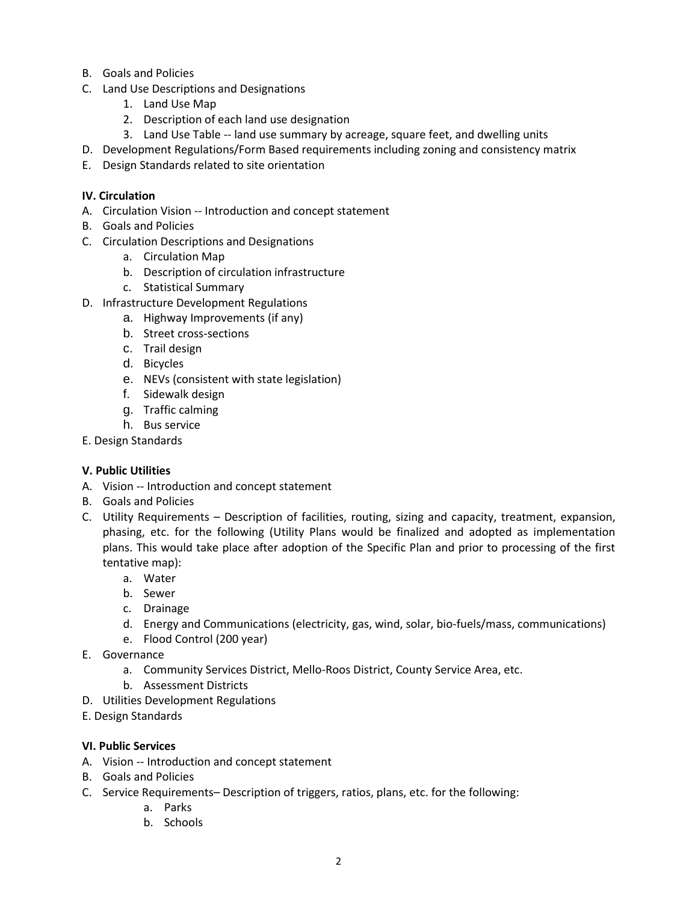- B. Goals and Policies
- C. Land Use Descriptions and Designations
	- 1. Land Use Map
	- 2. Description of each land use designation
	- 3. Land Use Table -- land use summary by acreage, square feet, and dwelling units
- D. Development Regulations/Form Based requirements including zoning and consistency matrix
- E. Design Standards related to site orientation

#### **IV. Circulation**

- A. Circulation Vision -- Introduction and concept statement
- B. Goals and Policies
- C. Circulation Descriptions and Designations
	- a. Circulation Map
	- b. Description of circulation infrastructure
	- c. Statistical Summary
- D. Infrastructure Development Regulations
	- a. Highway Improvements (if any)
	- b. Street cross-sections
	- c. Trail design
	- d. Bicycles
	- e. NEVs (consistent with state legislation)
	- f. Sidewalk design
	- g. Traffic calming
	- h. Bus service
- E. Design Standards

#### **V. Public Utilities**

- A. Vision -- Introduction and concept statement
- B. Goals and Policies
- C. Utility Requirements Description of facilities, routing, sizing and capacity, treatment, expansion, phasing, etc. for the following (Utility Plans would be finalized and adopted as implementation plans. This would take place after adoption of the Specific Plan and prior to processing of the first tentative map):
	- a. Water
	- b. Sewer
	- c. Drainage
	- d. Energy and Communications (electricity, gas, wind, solar, bio-fuels/mass, communications)
	- e. Flood Control (200 year)
- E. Governance
	- a. Community Services District, Mello-Roos District, County Service Area, etc.
	- b. Assessment Districts
- D. Utilities Development Regulations
- E. Design Standards

#### **VI. Public Services**

- A. Vision -- Introduction and concept statement
- B. Goals and Policies
- C. Service Requirements– Description of triggers, ratios, plans, etc. for the following:
	- a. Parks
	- b. Schools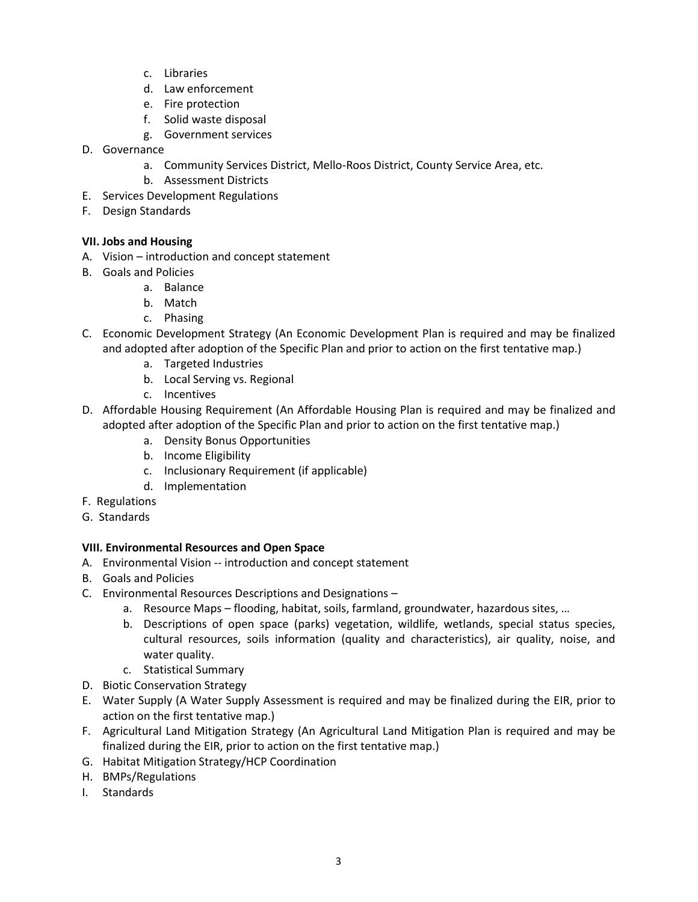- c. Libraries
- d. Law enforcement
- e. Fire protection
- f. Solid waste disposal
- g. Government services
- D. Governance
	- a. Community Services District, Mello-Roos District, County Service Area, etc.
	- b. Assessment Districts
- E. Services Development Regulations
- F. Design Standards

#### **VII. Jobs and Housing**

- A. Vision introduction and concept statement
- B. Goals and Policies
	- a. Balance
	- b. Match
	- c. Phasing
- C. Economic Development Strategy (An Economic Development Plan is required and may be finalized and adopted after adoption of the Specific Plan and prior to action on the first tentative map.)
	- a. Targeted Industries
	- b. Local Serving vs. Regional
	- c. Incentives
- D. Affordable Housing Requirement (An Affordable Housing Plan is required and may be finalized and adopted after adoption of the Specific Plan and prior to action on the first tentative map.)
	- a. Density Bonus Opportunities
	- b. Income Eligibility
	- c. Inclusionary Requirement (if applicable)
	- d. Implementation
- F. Regulations
- G. Standards

## **VIII. Environmental Resources and Open Space**

- A. Environmental Vision -- introduction and concept statement
- B. Goals and Policies
- C. Environmental Resources Descriptions and Designations
	- a. Resource Maps flooding, habitat, soils, farmland, groundwater, hazardous sites, …
	- b. Descriptions of open space (parks) vegetation, wildlife, wetlands, special status species, cultural resources, soils information (quality and characteristics), air quality, noise, and water quality.
	- c. Statistical Summary
- D. Biotic Conservation Strategy
- E. Water Supply (A Water Supply Assessment is required and may be finalized during the EIR, prior to action on the first tentative map.)
- F. Agricultural Land Mitigation Strategy (An Agricultural Land Mitigation Plan is required and may be finalized during the EIR, prior to action on the first tentative map.)
- G. Habitat Mitigation Strategy/HCP Coordination
- H. BMPs/Regulations
- I. Standards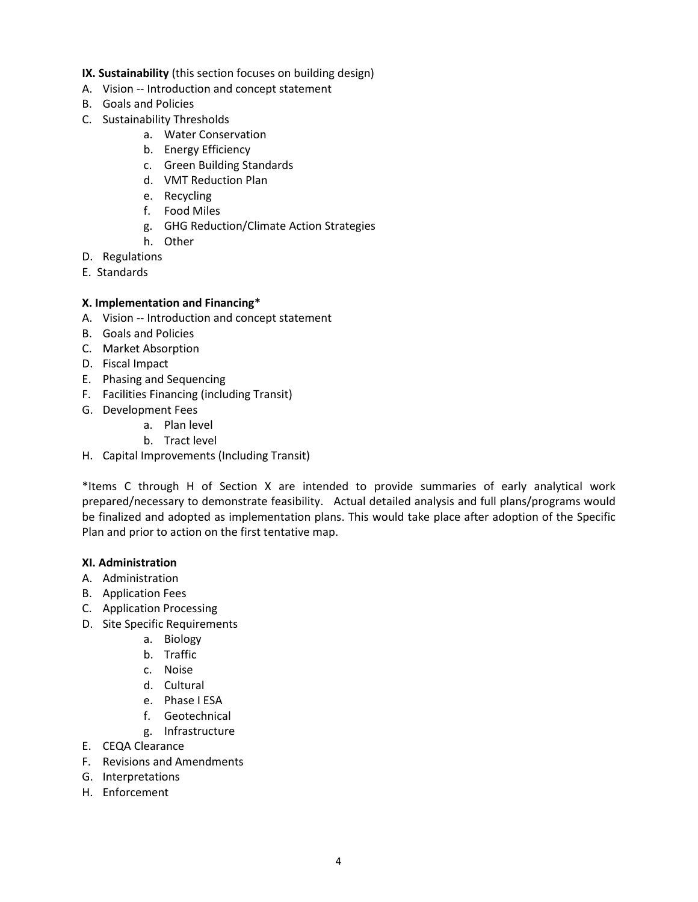#### **IX. Sustainability** (this section focuses on building design)

- A. Vision -- Introduction and concept statement
- B. Goals and Policies
- C. Sustainability Thresholds
	- a. Water Conservation
	- b. Energy Efficiency
	- c. Green Building Standards
	- d. VMT Reduction Plan
	- e. Recycling
	- f. Food Miles
	- g. GHG Reduction/Climate Action Strategies
	- h. Other
- D. Regulations
- E. Standards
- **X. Implementation and Financing\***
- A. Vision -- Introduction and concept statement
- B. Goals and Policies
- C. Market Absorption
- D. Fiscal Impact
- E. Phasing and Sequencing
- F. Facilities Financing (including Transit)
- G. Development Fees
	- a. Plan level
	- b. Tract level
- H. Capital Improvements (Including Transit)

\*Items C through H of Section X are intended to provide summaries of early analytical work prepared/necessary to demonstrate feasibility. Actual detailed analysis and full plans/programs would be finalized and adopted as implementation plans. This would take place after adoption of the Specific Plan and prior to action on the first tentative map.

#### **XI. Administration**

- A. Administration
- B. Application Fees
- C. Application Processing
- D. Site Specific Requirements
	- a. Biology
	- b. Traffic
	- c. Noise
	- d. Cultural
	- e. Phase I ESA
	- f. Geotechnical
	- g. Infrastructure
- E. CEQA Clearance
- F. Revisions and Amendments
- G. Interpretations
- H. Enforcement